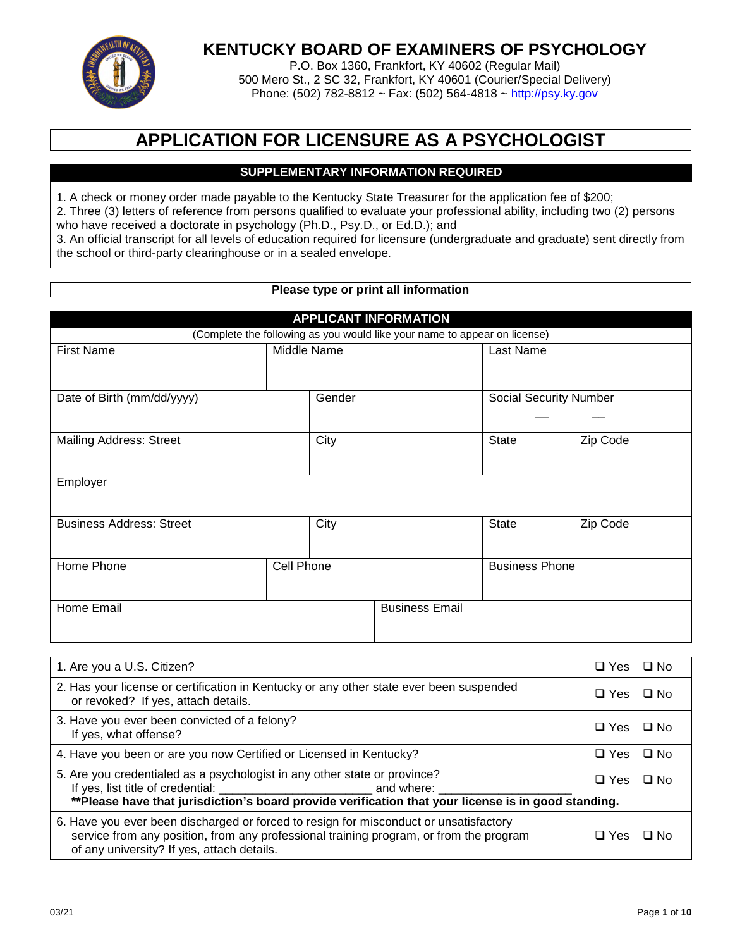

# **KENTUCKY BOARD OF EXAMINERS OF PSYCHOLOGY**

P.O. Box 1360, Frankfort, KY 40602 (Regular Mail) 500 Mero St., 2 SC 32, Frankfort, KY 40601 (Courier/Special Delivery) Phone: (502) 782-8812 ~ Fax: (502) 564-4818 ~ http://psy.ky.gov

# **APPLICATION FOR LICENSURE AS A PSYCHOLOGIST**

## **SUPPLEMENTARY INFORMATION REQUIRED**

1. A check or money order made payable to the Kentucky State Treasurer for the application fee of \$200;

2. Three (3) letters of reference from persons qualified to evaluate your professional ability, including two (2) persons who have received a doctorate in psychology (Ph.D., Psy.D., or Ed.D.); and

3. An official transcript for all levels of education required for licensure (undergraduate and graduate) sent directly from the school or third-party clearinghouse or in a sealed envelope.

## **Please type or print all information**

|                                                                                                                                |                                                                           | <b>APPLICANT INFORMATION</b> |                               |              |              |
|--------------------------------------------------------------------------------------------------------------------------------|---------------------------------------------------------------------------|------------------------------|-------------------------------|--------------|--------------|
|                                                                                                                                | (Complete the following as you would like your name to appear on license) |                              |                               |              |              |
| <b>First Name</b>                                                                                                              | Middle Name                                                               |                              | Last Name                     |              |              |
|                                                                                                                                |                                                                           |                              |                               |              |              |
| Date of Birth (mm/dd/yyyy)                                                                                                     | Gender                                                                    |                              | <b>Social Security Number</b> |              |              |
|                                                                                                                                |                                                                           |                              |                               |              |              |
| <b>Mailing Address: Street</b>                                                                                                 | City                                                                      |                              | <b>State</b>                  | Zip Code     |              |
|                                                                                                                                |                                                                           |                              |                               |              |              |
| Employer                                                                                                                       |                                                                           |                              |                               |              |              |
|                                                                                                                                |                                                                           |                              |                               |              |              |
| <b>Business Address: Street</b>                                                                                                | City                                                                      |                              | <b>State</b>                  | Zip Code     |              |
|                                                                                                                                |                                                                           |                              |                               |              |              |
| Home Phone                                                                                                                     | Cell Phone                                                                |                              | <b>Business Phone</b>         |              |              |
|                                                                                                                                |                                                                           |                              |                               |              |              |
| Home Email                                                                                                                     |                                                                           | <b>Business Email</b>        |                               |              |              |
|                                                                                                                                |                                                                           |                              |                               |              |              |
|                                                                                                                                |                                                                           |                              |                               |              |              |
| 1. Are you a U.S. Citizen?                                                                                                     |                                                                           |                              |                               | $\Box$ Yes   | $\square$ No |
| 2. Has your license or certification in Kentucky or any other state ever been suspended<br>or revoked? If yes, attach details. |                                                                           |                              | $\Box$ Yes                    | $\square$ No |              |
| 3. Have you ever been convicted of a felony?<br>If yes, what offense?                                                          |                                                                           |                              | $\Box$ Yes                    | $\square$ No |              |
| 4. Have you been or are you now Certified or Licensed in Kentucky?                                                             |                                                                           |                              |                               | $\Box$ Yes   | $\square$ No |
| 5. Are you credentialed as a psychologist in any other state or province?                                                      |                                                                           |                              |                               | $\Box$ Yes   | $\square$ No |
|                                                                                                                                |                                                                           |                              |                               |              |              |
| 6. Have you ever been discharged or forced to resign for misconduct or unsatisfactory                                          |                                                                           |                              |                               |              |              |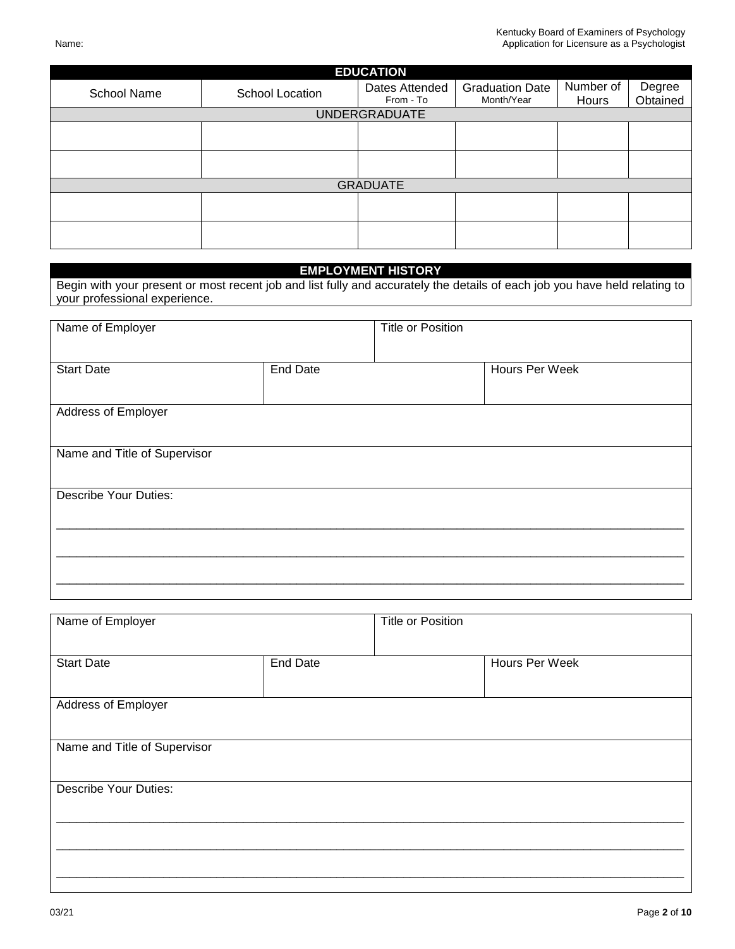| <b>EDUCATION</b> |                 |                             |                                      |                    |                    |  |
|------------------|-----------------|-----------------------------|--------------------------------------|--------------------|--------------------|--|
| School Name      | School Location | Dates Attended<br>From - To | <b>Graduation Date</b><br>Month/Year | Number of<br>Hours | Degree<br>Obtained |  |
|                  |                 | <b>UNDERGRADUATE</b>        |                                      |                    |                    |  |
|                  |                 |                             |                                      |                    |                    |  |
|                  |                 |                             |                                      |                    |                    |  |
|                  |                 | <b>GRADUATE</b>             |                                      |                    |                    |  |
|                  |                 |                             |                                      |                    |                    |  |
|                  |                 |                             |                                      |                    |                    |  |

#### **EMPLOYMENT HISTORY**

Begin with your present or most recent job and list fully and accurately the details of each job you have held relating to your professional experience.

| Name of Employer             |                 | <b>Title or Position</b> |                |
|------------------------------|-----------------|--------------------------|----------------|
| <b>Start Date</b>            | <b>End Date</b> |                          | Hours Per Week |
| Address of Employer          |                 |                          |                |
| Name and Title of Supervisor |                 |                          |                |
| <b>Describe Your Duties:</b> |                 |                          |                |
|                              |                 |                          |                |
|                              |                 |                          |                |

| Name of Employer             |                 | <b>Title or Position</b> |                |
|------------------------------|-----------------|--------------------------|----------------|
| <b>Start Date</b>            | <b>End Date</b> |                          | Hours Per Week |
| Address of Employer          |                 |                          |                |
| Name and Title of Supervisor |                 |                          |                |
| <b>Describe Your Duties:</b> |                 |                          |                |
|                              |                 |                          |                |
|                              |                 |                          |                |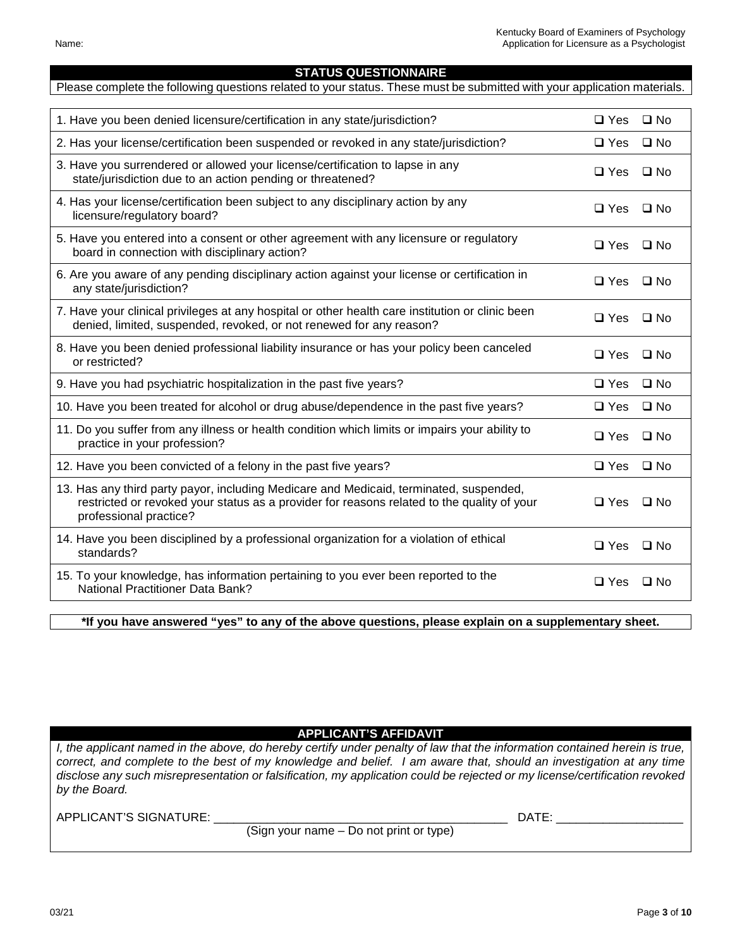**STATUS QUESTIONNAIRE**  Please complete the following questions related to your status. These must be submitted with your application materials.

1. Have you been denied licensure/certification in any state/jurisdiction?  $\square$  Yes  $\square$  No 2. Has your license/certification been suspended or revoked in any state/jurisdiction?  $\square$  Yes  $\square$  No

| state/jurisdiction ago to an action ponding or uncatoned:                                                                                                               |               |              |
|-------------------------------------------------------------------------------------------------------------------------------------------------------------------------|---------------|--------------|
| 4. Has your license/certification been subject to any disciplinary action by any<br>licensure/regulatory board?                                                         | □ Yes         | $\square$ No |
| 5. Have you entered into a consent or other agreement with any licensure or regulatory<br>board in connection with disciplinary action?                                 | $\Box$ Yes    | $\square$ No |
| 6. Are you aware of any pending disciplinary action against your license or certification in<br>any state/jurisdiction?                                                 | $\Box$ Yes    | $\square$ No |
| 7. Have your clinical privileges at any hospital or other health care institution or clinic been<br>denied, limited, suspended, revoked, or not renewed for any reason? | $\Box$ Yes    | $\square$ No |
| 8. Have you been denied professional liability insurance or has your policy been canceled<br>or restricted?                                                             | $\square$ Yes | $\square$ No |
| 9. Have you had psychiatric hospitalization in the past five years?                                                                                                     | $\square$ Yes | $\square$ No |
| 10. Have you been treated for alcohol or drug abuse/dependence in the past five years?                                                                                  | $\Box$ Yes    | $\Box$ No    |
| 11. Do you suffer from any illness or health condition which limits or impairs your ability to<br>practice in your profession?                                          | $\Box$ Yes    | $\Box$ No    |
| 12. Have you heen convicted of a felony in the past five years?                                                                                                         | e Y ר⊓        | $\Box$ No    |

| $12.11$ ave you been convicted or a felony in the past five years:                                                                                                                                             | ________             |  |
|----------------------------------------------------------------------------------------------------------------------------------------------------------------------------------------------------------------|----------------------|--|
| 13. Has any third party payor, including Medicare and Medicaid, terminated, suspended,<br>restricted or revoked your status as a provider for reasons related to the quality of your<br>professional practice? | $\Box$ Yes $\Box$ No |  |
| 14. Have you been disciplined by a professional organization for a violation of ethical<br>standards?                                                                                                          | $\Box$ Yes $\Box$ No |  |
| 15. To your knowledge, has information pertaining to you ever been reported to the<br><b>National Practitioner Data Bank?</b>                                                                                  | $\Box$ Yes $\Box$ No |  |

**\*If you have answered "yes" to any of the above questions, please explain on a supplementary sheet.** 

**APPLICANT'S AFFIDAVIT** 

*I, the applicant named in the above, do hereby certify under penalty of law that the information contained herein is true, correct, and complete to the best of my knowledge and belief. I am aware that, should an investigation at any time disclose any such misrepresentation or falsification, my application could be rejected or my license/certification revoked by the Board.* 

APPLICANT'S SIGNATURE: \_\_\_\_\_\_\_\_\_\_\_\_\_\_\_\_\_\_\_\_\_\_\_\_\_\_\_\_\_\_\_\_\_\_\_\_\_\_\_\_\_\_\_\_ DATE: \_\_\_\_\_\_\_\_\_\_\_\_\_\_\_\_\_\_\_

(Sign your name – Do not print or type)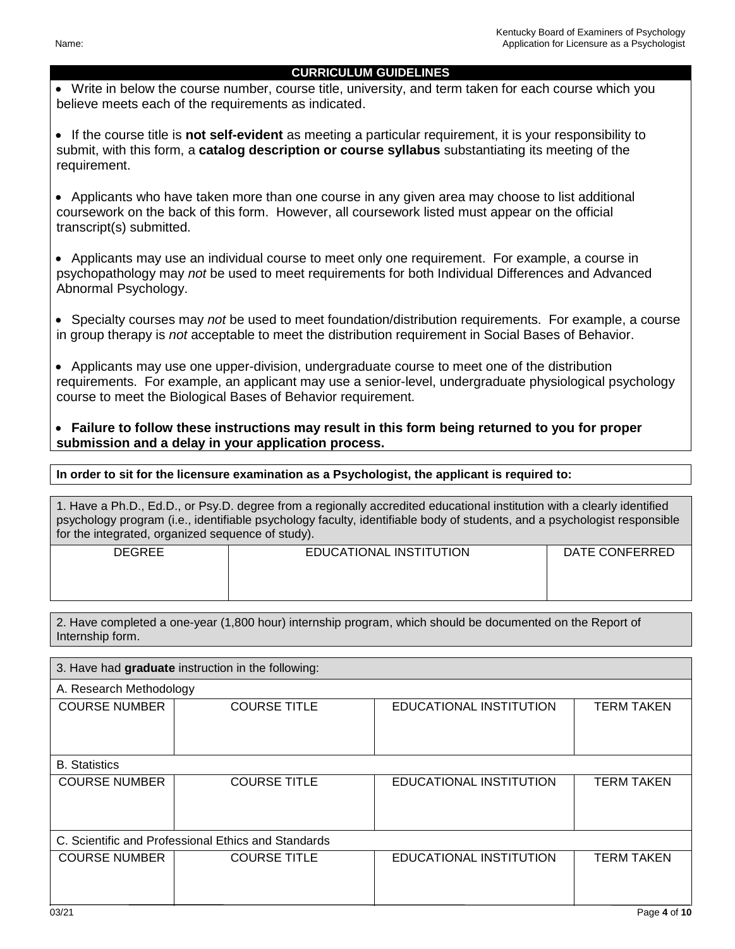## **CURRICULUM GUIDELINES**

 Write in below the course number, course title, university, and term taken for each course which you believe meets each of the requirements as indicated.

 If the course title is **not self-evident** as meeting a particular requirement, it is your responsibility to submit, with this form, a **catalog description or course syllabus** substantiating its meeting of the requirement.

 Applicants who have taken more than one course in any given area may choose to list additional coursework on the back of this form. However, all coursework listed must appear on the official transcript(s) submitted.

 Applicants may use an individual course to meet only one requirement. For example, a course in psychopathology may *not* be used to meet requirements for both Individual Differences and Advanced Abnormal Psychology.

• Specialty courses may *not* be used to meet foundation/distribution requirements. For example, a course in group therapy is *not* acceptable to meet the distribution requirement in Social Bases of Behavior.

 Applicants may use one upper-division, undergraduate course to meet one of the distribution requirements. For example, an applicant may use a senior-level, undergraduate physiological psychology course to meet the Biological Bases of Behavior requirement.

 **Failure to follow these instructions may result in this form being returned to you for proper submission and a delay in your application process.** 

**In order to sit for the licensure examination as a Psychologist, the applicant is required to:** 

1. Have a Ph.D., Ed.D., or Psy.D. degree from a regionally accredited educational institution with a clearly identified psychology program (i.e., identifiable psychology faculty, identifiable body of students, and a psychologist responsible for the integrated, organized sequence of study).

| <b>DEGREE</b> | EDUCATIONAL INSTITUTION | DATE CONFERRED |
|---------------|-------------------------|----------------|
|               |                         |                |
|               |                         |                |

2. Have completed a one-year (1,800 hour) internship program, which should be documented on the Report of Internship form.

| 3. Have had graduate instruction in the following:  |                     |                         |                   |  |  |
|-----------------------------------------------------|---------------------|-------------------------|-------------------|--|--|
| A. Research Methodology                             |                     |                         |                   |  |  |
| <b>COURSE NUMBER</b>                                | <b>COURSE TITLE</b> | EDUCATIONAL INSTITUTION | <b>TERM TAKEN</b> |  |  |
|                                                     |                     |                         |                   |  |  |
| <b>B.</b> Statistics                                |                     |                         |                   |  |  |
| <b>COURSE NUMBER</b>                                | <b>COURSE TITLE</b> | EDUCATIONAL INSTITUTION | <b>TERM TAKEN</b> |  |  |
|                                                     |                     |                         |                   |  |  |
| C. Scientific and Professional Ethics and Standards |                     |                         |                   |  |  |
| <b>COURSE NUMBER</b>                                | <b>COURSE TITLE</b> | EDUCATIONAL INSTITUTION | <b>TERM TAKEN</b> |  |  |
|                                                     |                     |                         |                   |  |  |
|                                                     |                     |                         |                   |  |  |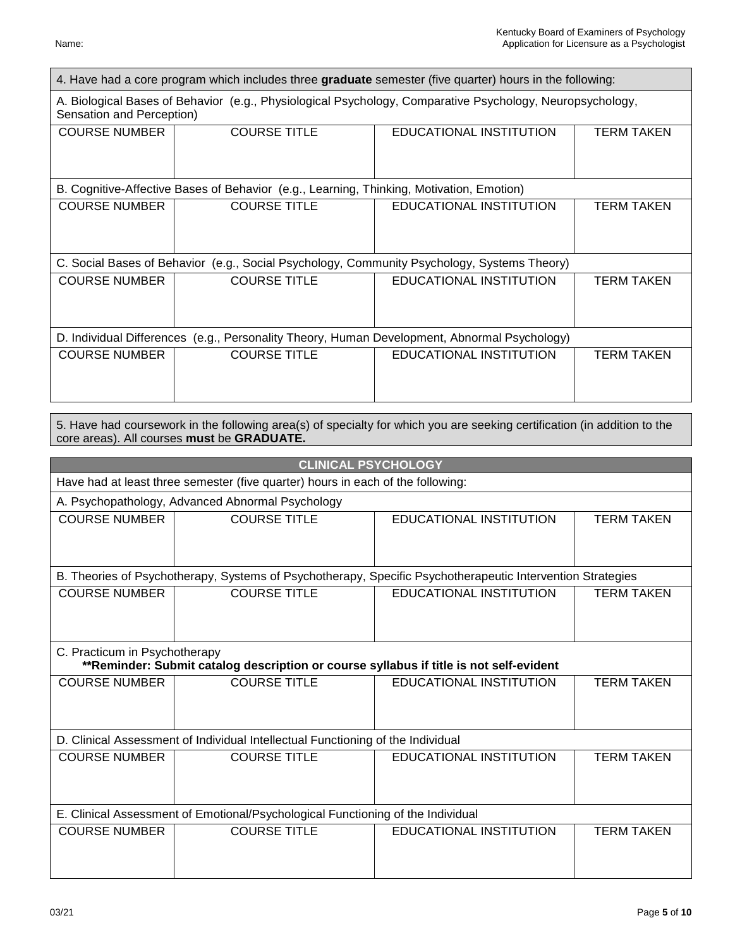| 4. Have had a core program which includes three graduate semester (five quarter) hours in the following: |                                                                                             |                                                                                                           |                   |  |
|----------------------------------------------------------------------------------------------------------|---------------------------------------------------------------------------------------------|-----------------------------------------------------------------------------------------------------------|-------------------|--|
| Sensation and Perception)                                                                                |                                                                                             | A. Biological Bases of Behavior (e.g., Physiological Psychology, Comparative Psychology, Neuropsychology, |                   |  |
| <b>COURSE NUMBER</b>                                                                                     | <b>COURSE TITLE</b>                                                                         | EDUCATIONAL INSTITUTION                                                                                   | <b>TERM TAKEN</b> |  |
|                                                                                                          | B. Cognitive-Affective Bases of Behavior (e.g., Learning, Thinking, Motivation, Emotion)    |                                                                                                           |                   |  |
| <b>COURSE NUMBER</b>                                                                                     | <b>COURSE TITLE</b>                                                                         | EDUCATIONAL INSTITUTION                                                                                   | <b>TERM TAKEN</b> |  |
|                                                                                                          | C. Social Bases of Behavior (e.g., Social Psychology, Community Psychology, Systems Theory) |                                                                                                           |                   |  |
| <b>COURSE NUMBER</b>                                                                                     | <b>COURSE TITLE</b>                                                                         | EDUCATIONAL INSTITUTION                                                                                   | <b>TERM TAKEN</b> |  |
| (e.g., Personality Theory, Human Development, Abnormal Psychology)<br>D. Individual Differences          |                                                                                             |                                                                                                           |                   |  |
| <b>COURSE NUMBER</b>                                                                                     | <b>COURSE TITLE</b>                                                                         | EDUCATIONAL INSTITUTION                                                                                   | TERM TAKEN        |  |

5. Have had coursework in the following area(s) of specialty for which you are seeking certification (in addition to the core areas). All courses **must** be **GRADUATE.** 

| <b>CLINICAL PSYCHOLOGY</b>                                                      |                                                                                        |                                                                                                            |                   |  |
|---------------------------------------------------------------------------------|----------------------------------------------------------------------------------------|------------------------------------------------------------------------------------------------------------|-------------------|--|
|                                                                                 | Have had at least three semester (five quarter) hours in each of the following:        |                                                                                                            |                   |  |
|                                                                                 | A. Psychopathology, Advanced Abnormal Psychology                                       |                                                                                                            |                   |  |
| <b>COURSE NUMBER</b>                                                            | <b>COURSE TITLE</b>                                                                    | EDUCATIONAL INSTITUTION                                                                                    | <b>TERM TAKEN</b> |  |
|                                                                                 |                                                                                        |                                                                                                            |                   |  |
|                                                                                 |                                                                                        | B. Theories of Psychotherapy, Systems of Psychotherapy, Specific Psychotherapeutic Intervention Strategies |                   |  |
| <b>COURSE NUMBER</b>                                                            | <b>COURSE TITLE</b>                                                                    | EDUCATIONAL INSTITUTION                                                                                    | <b>TERM TAKEN</b> |  |
|                                                                                 |                                                                                        |                                                                                                            |                   |  |
|                                                                                 |                                                                                        |                                                                                                            |                   |  |
| C. Practicum in Psychotherapy                                                   | **Reminder: Submit catalog description or course syllabus if title is not self-evident |                                                                                                            |                   |  |
| <b>COURSE NUMBER</b>                                                            | <b>COURSE TITLE</b>                                                                    | <b>EDUCATIONAL INSTITUTION</b>                                                                             | <b>TERM TAKEN</b> |  |
|                                                                                 |                                                                                        |                                                                                                            |                   |  |
|                                                                                 |                                                                                        |                                                                                                            |                   |  |
|                                                                                 | D. Clinical Assessment of Individual Intellectual Functioning of the Individual        |                                                                                                            |                   |  |
| <b>COURSE NUMBER</b>                                                            | <b>COURSE TITLE</b>                                                                    | EDUCATIONAL INSTITUTION                                                                                    | <b>TERM TAKEN</b> |  |
|                                                                                 |                                                                                        |                                                                                                            |                   |  |
|                                                                                 |                                                                                        |                                                                                                            |                   |  |
| E. Clinical Assessment of Emotional/Psychological Functioning of the Individual |                                                                                        |                                                                                                            |                   |  |
| <b>COURSE NUMBER</b>                                                            | <b>COURSE TITLE</b>                                                                    | EDUCATIONAL INSTITUTION                                                                                    | <b>TERM TAKEN</b> |  |
|                                                                                 |                                                                                        |                                                                                                            |                   |  |
|                                                                                 |                                                                                        |                                                                                                            |                   |  |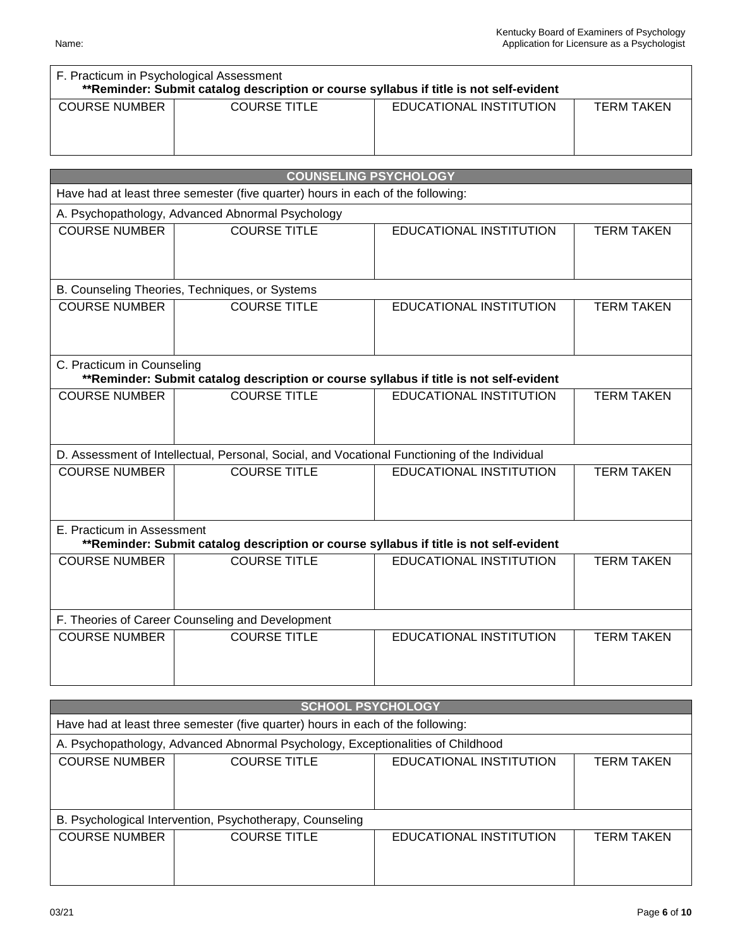| F. Practicum in Psychological Assessment<br>**Reminder: Submit catalog description or course syllabus if title is not self-evident |                     |                         |                   |  |
|------------------------------------------------------------------------------------------------------------------------------------|---------------------|-------------------------|-------------------|--|
| COURSE NUMBER                                                                                                                      | <b>COURSE TITLE</b> | EDUCATIONAL INSTITUTION | <b>TERM TAKEN</b> |  |

| <b>COUNSELING PSYCHOLOGY</b>                     |                                                                                               |                                |                   |  |  |
|--------------------------------------------------|-----------------------------------------------------------------------------------------------|--------------------------------|-------------------|--|--|
|                                                  | Have had at least three semester (five quarter) hours in each of the following:               |                                |                   |  |  |
| A. Psychopathology, Advanced Abnormal Psychology |                                                                                               |                                |                   |  |  |
| <b>COURSE NUMBER</b>                             | <b>COURSE TITLE</b>                                                                           | <b>EDUCATIONAL INSTITUTION</b> | <b>TERM TAKEN</b> |  |  |
|                                                  | B. Counseling Theories, Techniques, or Systems                                                |                                |                   |  |  |
| <b>COURSE NUMBER</b>                             | <b>COURSE TITLE</b>                                                                           | EDUCATIONAL INSTITUTION        | <b>TERM TAKEN</b> |  |  |
| C. Practicum in Counseling                       | **Reminder: Submit catalog description or course syllabus if title is not self-evident        |                                |                   |  |  |
| <b>COURSE NUMBER</b>                             | <b>COURSE TITLE</b>                                                                           | <b>EDUCATIONAL INSTITUTION</b> | <b>TERM TAKEN</b> |  |  |
|                                                  | D. Assessment of Intellectual, Personal, Social, and Vocational Functioning of the Individual |                                |                   |  |  |
| <b>COURSE NUMBER</b>                             | <b>COURSE TITLE</b>                                                                           | <b>EDUCATIONAL INSTITUTION</b> | <b>TERM TAKEN</b> |  |  |
| E. Practicum in Assessment                       | **Reminder: Submit catalog description or course syllabus if title is not self-evident        |                                |                   |  |  |
| <b>COURSE NUMBER</b>                             | <b>COURSE TITLE</b>                                                                           | <b>EDUCATIONAL INSTITUTION</b> | <b>TERM TAKEN</b> |  |  |
| F. Theories of Career Counseling and Development |                                                                                               |                                |                   |  |  |
| <b>COURSE NUMBER</b>                             | <b>COURSE TITLE</b>                                                                           | <b>EDUCATIONAL INSTITUTION</b> | <b>TERM TAKEN</b> |  |  |

| <b>SCHOOL PSYCHOLOGY</b>                                 |                                                                                 |                         |                   |  |  |
|----------------------------------------------------------|---------------------------------------------------------------------------------|-------------------------|-------------------|--|--|
|                                                          | Have had at least three semester (five quarter) hours in each of the following: |                         |                   |  |  |
|                                                          | A. Psychopathology, Advanced Abnormal Psychology, Exceptionalities of Childhood |                         |                   |  |  |
| <b>COURSE NUMBER</b>                                     | <b>COURSE TITLE</b><br>EDUCATIONAL INSTITUTION<br><b>TERM TAKEN</b>             |                         |                   |  |  |
|                                                          |                                                                                 |                         |                   |  |  |
|                                                          |                                                                                 |                         |                   |  |  |
| B. Psychological Intervention, Psychotherapy, Counseling |                                                                                 |                         |                   |  |  |
| <b>COURSE NUMBER</b>                                     | <b>COURSE TITLE</b>                                                             | EDUCATIONAL INSTITUTION | <b>TERM TAKEN</b> |  |  |
|                                                          |                                                                                 |                         |                   |  |  |
|                                                          |                                                                                 |                         |                   |  |  |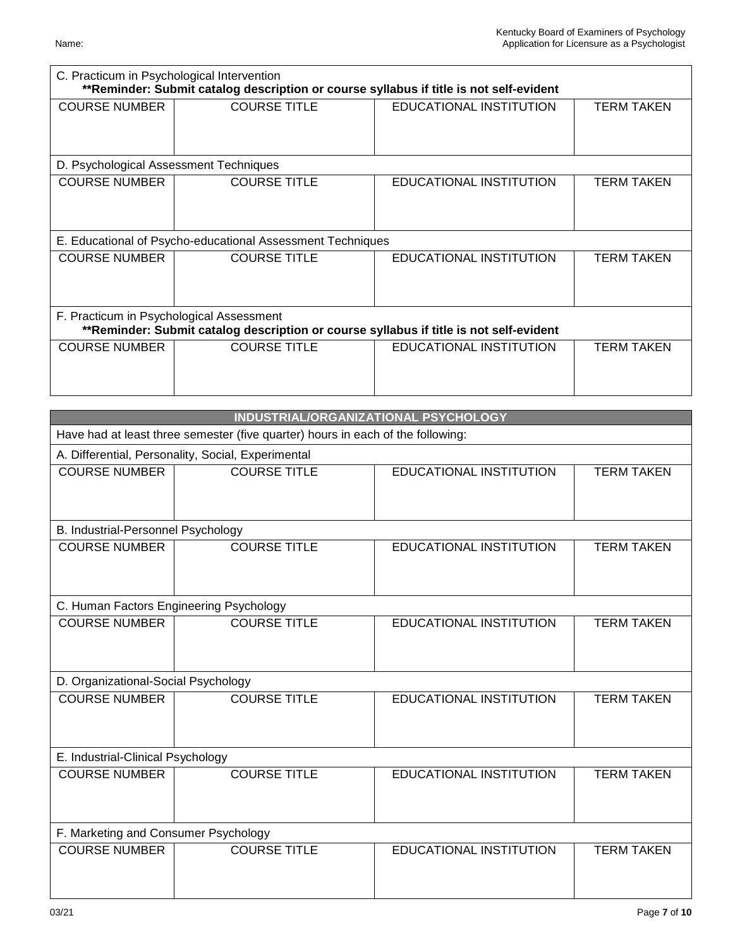| C. Practicum in Psychological Intervention<br>**Reminder: Submit catalog description or course syllabus if title is not self-evident |                                                                                        |                         |                   |
|--------------------------------------------------------------------------------------------------------------------------------------|----------------------------------------------------------------------------------------|-------------------------|-------------------|
| <b>COURSE NUMBER</b>                                                                                                                 | <b>COURSE TITLE</b>                                                                    | EDUCATIONAL INSTITUTION | <b>TERM TAKEN</b> |
| D. Psychological Assessment Techniques                                                                                               |                                                                                        |                         |                   |
| <b>COURSE NUMBER</b>                                                                                                                 | <b>COURSE TITLE</b>                                                                    | EDUCATIONAL INSTITUTION | <b>TERM TAKEN</b> |
|                                                                                                                                      | E. Educational of Psycho-educational Assessment Techniques                             |                         |                   |
| <b>COURSE NUMBER</b>                                                                                                                 | <b>COURSE TITLE</b>                                                                    | EDUCATIONAL INSTITUTION | <b>TERM TAKEN</b> |
| F. Practicum in Psychological Assessment                                                                                             | **Reminder: Submit catalog description or course syllabus if title is not self-evident |                         |                   |
| <b>COURSE NUMBER</b>                                                                                                                 | <b>COURSE TITLE</b>                                                                    | EDUCATIONAL INSTITUTION | <b>TERM TAKEN</b> |
|                                                                                                                                      | INDUSTRIAL/ORGANIZATIONAL PSYCHOLOGY                                                   |                         |                   |
|                                                                                                                                      | Have had at least three semester (five quarter) hours in each of the following:        |                         |                   |
|                                                                                                                                      | A. Differential, Personality, Social, Experimental                                     |                         |                   |
| <b>COURSE NUMBER</b>                                                                                                                 | <b>COURSE TITLE</b>                                                                    | EDUCATIONAL INSTITUTION | <b>TERM TAKEN</b> |
| B. Industrial-Personnel Psychology                                                                                                   |                                                                                        |                         |                   |
| <b>COURSE NUMBER</b>                                                                                                                 | <b>COURSE TITLE</b>                                                                    | EDUCATIONAL INSTITUTION | <b>TERM TAKEN</b> |
| C. Human Factors Engineering Psychology                                                                                              |                                                                                        |                         |                   |
| <b>COURSE NUMBER</b>                                                                                                                 | <b>COURSE TITLE</b>                                                                    | EDUCATIONAL INSTITUTION | <b>TERM TAKEN</b> |
| D. Organizational-Social Psychology                                                                                                  |                                                                                        |                         |                   |
| <b>COURSE NUMBER</b>                                                                                                                 | <b>COURSE TITLE</b>                                                                    | EDUCATIONAL INSTITUTION | <b>TERM TAKEN</b> |
| E. Industrial-Clinical Psychology                                                                                                    |                                                                                        |                         |                   |
| <b>COURSE NUMBER</b>                                                                                                                 | <b>COURSE TITLE</b>                                                                    | EDUCATIONAL INSTITUTION | <b>TERM TAKEN</b> |
| F. Marketing and Consumer Psychology                                                                                                 |                                                                                        |                         |                   |
| <b>COURSE NUMBER</b>                                                                                                                 | <b>COURSE TITLE</b>                                                                    | EDUCATIONAL INSTITUTION | <b>TERM TAKEN</b> |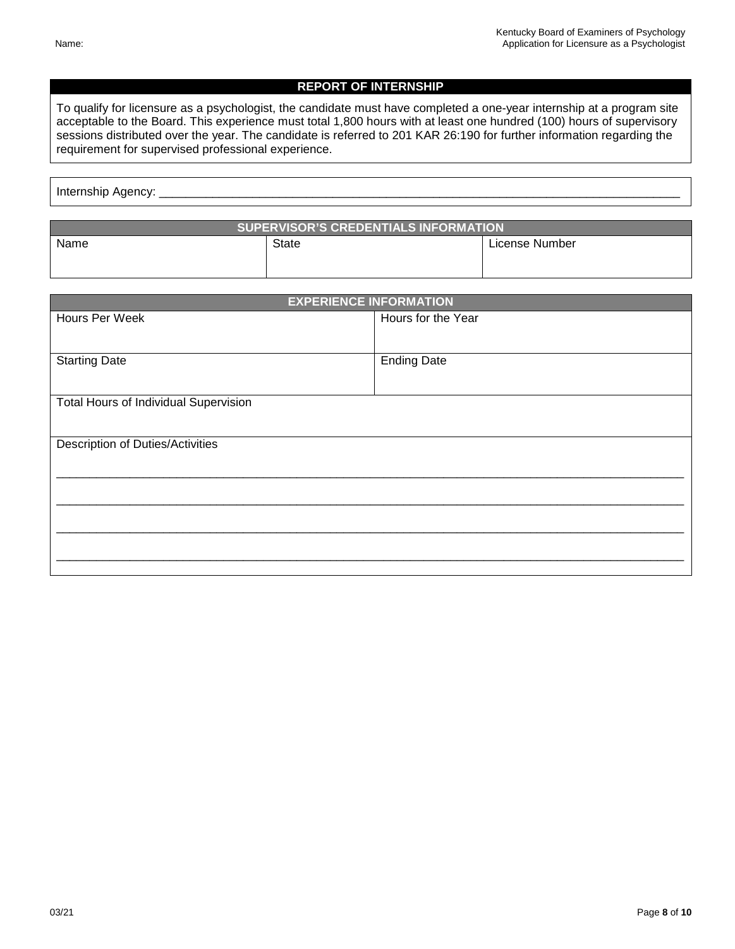## **REPORT OF INTERNSHIP**

To qualify for licensure as a psychologist, the candidate must have completed a one-year internship at a program site acceptable to the Board. This experience must total 1,800 hours with at least one hundred (100) hours of supervisory sessions distributed over the year. The candidate is referred to 201 KAR 26:190 for further information regarding the requirement for supervised professional experience.

| _________ |  | __ |
|-----------|--|----|
|           |  |    |

| <b>SUPERVISOR'S CREDENTIALS INFORMATION</b> |       |                |  |
|---------------------------------------------|-------|----------------|--|
| Name                                        | State | License Number |  |

| <b>EXPERIENCE INFORMATION</b>                |                    |  |  |
|----------------------------------------------|--------------------|--|--|
| Hours Per Week                               | Hours for the Year |  |  |
|                                              |                    |  |  |
| <b>Starting Date</b>                         | <b>Ending Date</b> |  |  |
|                                              |                    |  |  |
| <b>Total Hours of Individual Supervision</b> |                    |  |  |
|                                              |                    |  |  |
| Description of Duties/Activities             |                    |  |  |
|                                              |                    |  |  |
|                                              |                    |  |  |
|                                              |                    |  |  |
|                                              |                    |  |  |
|                                              |                    |  |  |
|                                              |                    |  |  |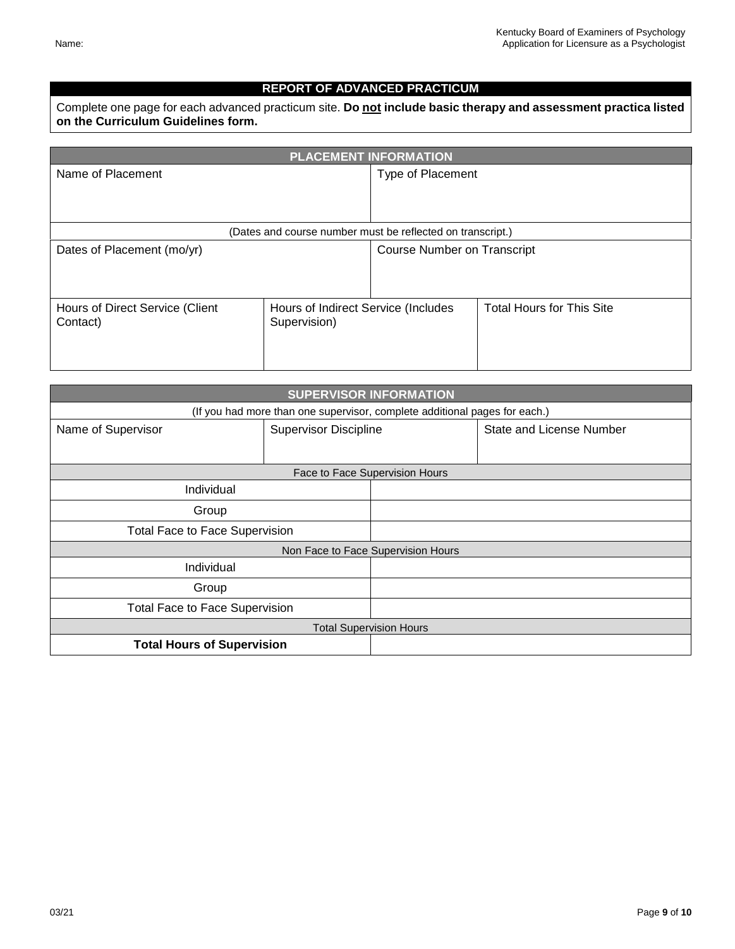## **REPORT OF ADVANCED PRACTICUM**

Complete one page for each advanced practicum site. **Do not include basic therapy and assessment practica listed on the Curriculum Guidelines form.** 

| <b>PLACEMENT INFORMATION</b>                                                                       |                                                            |                                    |                                  |
|----------------------------------------------------------------------------------------------------|------------------------------------------------------------|------------------------------------|----------------------------------|
| Name of Placement                                                                                  |                                                            | Type of Placement                  |                                  |
|                                                                                                    |                                                            |                                    |                                  |
|                                                                                                    | (Dates and course number must be reflected on transcript.) |                                    |                                  |
| Dates of Placement (mo/yr)                                                                         |                                                            | <b>Course Number on Transcript</b> |                                  |
| Hours of Direct Service (Client<br>Hours of Indirect Service (Includes<br>Supervision)<br>Contact) |                                                            |                                    | <b>Total Hours for This Site</b> |

| <b>SUPERVISOR INFORMATION</b>         |                                                                            |                                    |                                 |  |  |
|---------------------------------------|----------------------------------------------------------------------------|------------------------------------|---------------------------------|--|--|
|                                       | (If you had more than one supervisor, complete additional pages for each.) |                                    |                                 |  |  |
| Name of Supervisor                    | <b>Supervisor Discipline</b>                                               |                                    | <b>State and License Number</b> |  |  |
|                                       |                                                                            |                                    |                                 |  |  |
|                                       |                                                                            | Face to Face Supervision Hours     |                                 |  |  |
| Individual                            |                                                                            |                                    |                                 |  |  |
| Group                                 |                                                                            |                                    |                                 |  |  |
| <b>Total Face to Face Supervision</b> |                                                                            |                                    |                                 |  |  |
|                                       |                                                                            | Non Face to Face Supervision Hours |                                 |  |  |
| Individual                            |                                                                            |                                    |                                 |  |  |
| Group                                 |                                                                            |                                    |                                 |  |  |
| <b>Total Face to Face Supervision</b> |                                                                            |                                    |                                 |  |  |
| <b>Total Supervision Hours</b>        |                                                                            |                                    |                                 |  |  |
| <b>Total Hours of Supervision</b>     |                                                                            |                                    |                                 |  |  |